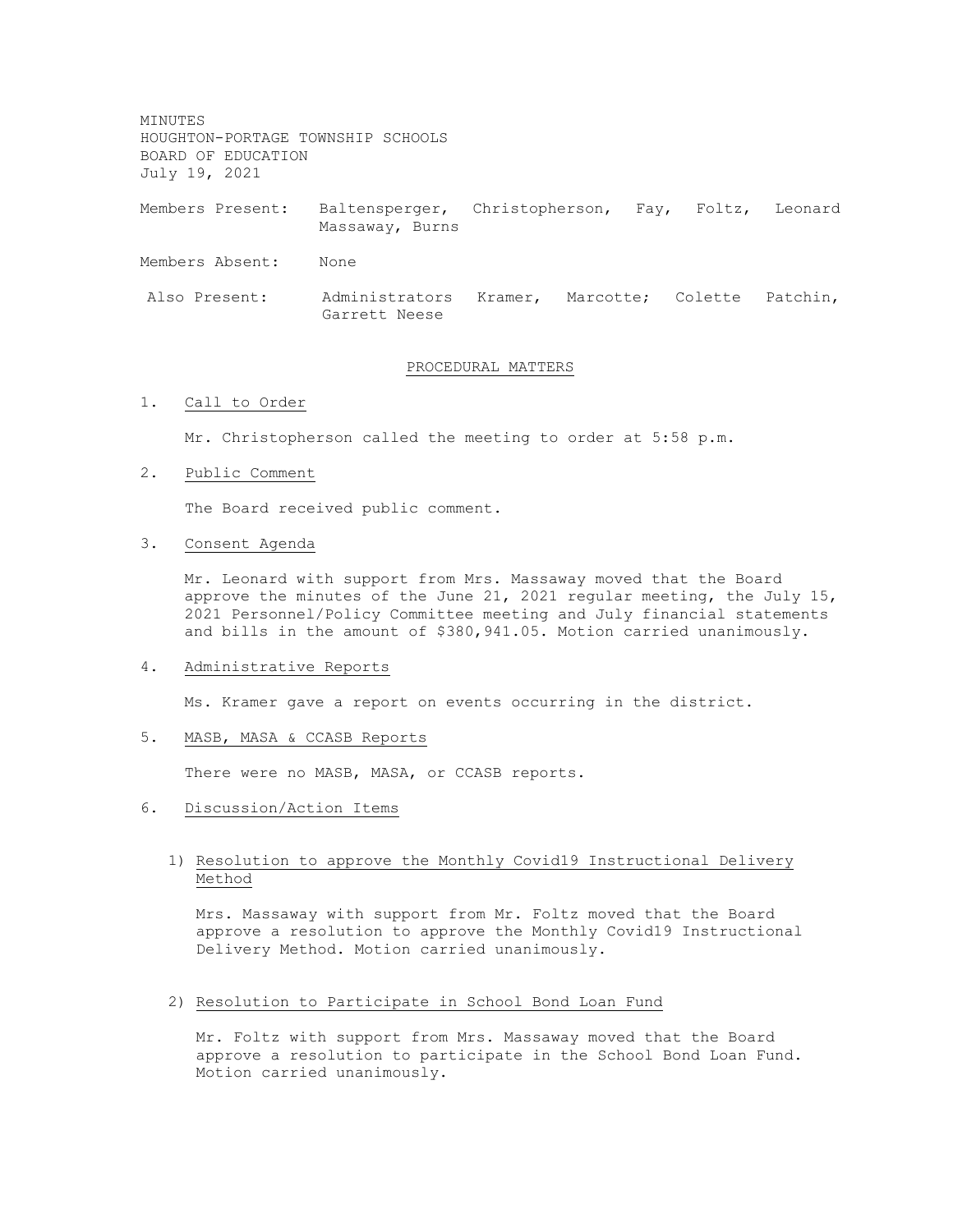MINUTES HOUGHTON-PORTAGE TOWNSHIP SCHOOLS BOARD OF EDUCATION July 19, 2021

Members Present: Baltensperger, Christopherson, Fay, Foltz, Leonard Massaway, Burns

Members Absent: None

Also Present: Administrators Kramer, Marcotte; Colette Patchin, Garrett Neese

## PROCEDURAL MATTERS

### 1. Call to Order

Mr. Christopherson called the meeting to order at 5:58 p.m.

### 2. Public Comment

The Board received public comment.

#### 3. Consent Agenda

Mr. Leonard with support from Mrs. Massaway moved that the Board approve the minutes of the June 21, 2021 regular meeting, the July 15, 2021 Personnel/Policy Committee meeting and July financial statements and bills in the amount of \$380,941.05. Motion carried unanimously.

#### 4. Administrative Reports

Ms. Kramer gave a report on events occurring in the district.

# 5. MASB, MASA & CCASB Reports

There were no MASB, MASA, or CCASB reports.

#### 6. Discussion/Action Items

# 1) Resolution to approve the Monthly Covid19 Instructional Delivery Method

Mrs. Massaway with support from Mr. Foltz moved that the Board approve a resolution to approve the Monthly Covid19 Instructional Delivery Method. Motion carried unanimously.

### 2) Resolution to Participate in School Bond Loan Fund

Mr. Foltz with support from Mrs. Massaway moved that the Board approve a resolution to participate in the School Bond Loan Fund. Motion carried unanimously.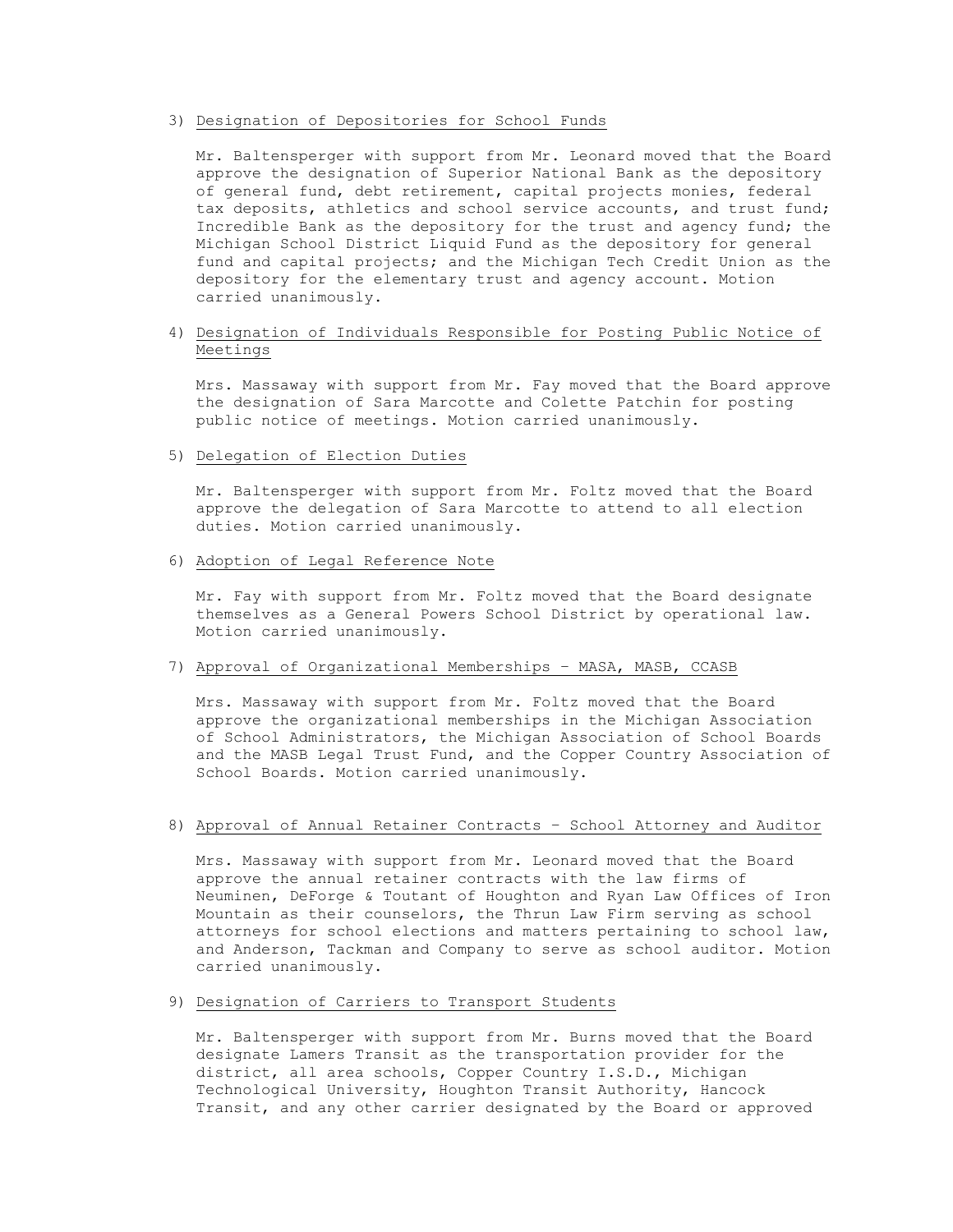## 3) Designation of Depositories for School Funds

Mr. Baltensperger with support from Mr. Leonard moved that the Board approve the designation of Superior National Bank as the depository of general fund, debt retirement, capital projects monies, federal tax deposits, athletics and school service accounts, and trust fund; Incredible Bank as the depository for the trust and agency fund; the Michigan School District Liquid Fund as the depository for general fund and capital projects; and the Michigan Tech Credit Union as the depository for the elementary trust and agency account. Motion carried unanimously.

# 4) Designation of Individuals Responsible for Posting Public Notice of Meetings

Mrs. Massaway with support from Mr. Fay moved that the Board approve the designation of Sara Marcotte and Colette Patchin for posting public notice of meetings. Motion carried unanimously.

# 5) Delegation of Election Duties

Mr. Baltensperger with support from Mr. Foltz moved that the Board approve the delegation of Sara Marcotte to attend to all election duties. Motion carried unanimously.

#### 6) Adoption of Legal Reference Note

Mr. Fay with support from Mr. Foltz moved that the Board designate themselves as a General Powers School District by operational law. Motion carried unanimously.

# 7) Approval of Organizational Memberships – MASA, MASB, CCASB

Mrs. Massaway with support from Mr. Foltz moved that the Board approve the organizational memberships in the Michigan Association of School Administrators, the Michigan Association of School Boards and the MASB Legal Trust Fund, and the Copper Country Association of School Boards. Motion carried unanimously.

# 8) Approval of Annual Retainer Contracts – School Attorney and Auditor

Mrs. Massaway with support from Mr. Leonard moved that the Board approve the annual retainer contracts with the law firms of Neuminen, DeForge & Toutant of Houghton and Ryan Law Offices of Iron Mountain as their counselors, the Thrun Law Firm serving as school attorneys for school elections and matters pertaining to school law, and Anderson, Tackman and Company to serve as school auditor. Motion carried unanimously.

### 9) Designation of Carriers to Transport Students

Mr. Baltensperger with support from Mr. Burns moved that the Board designate Lamers Transit as the transportation provider for the district, all area schools, Copper Country I.S.D., Michigan Technological University, Houghton Transit Authority, Hancock Transit, and any other carrier designated by the Board or approved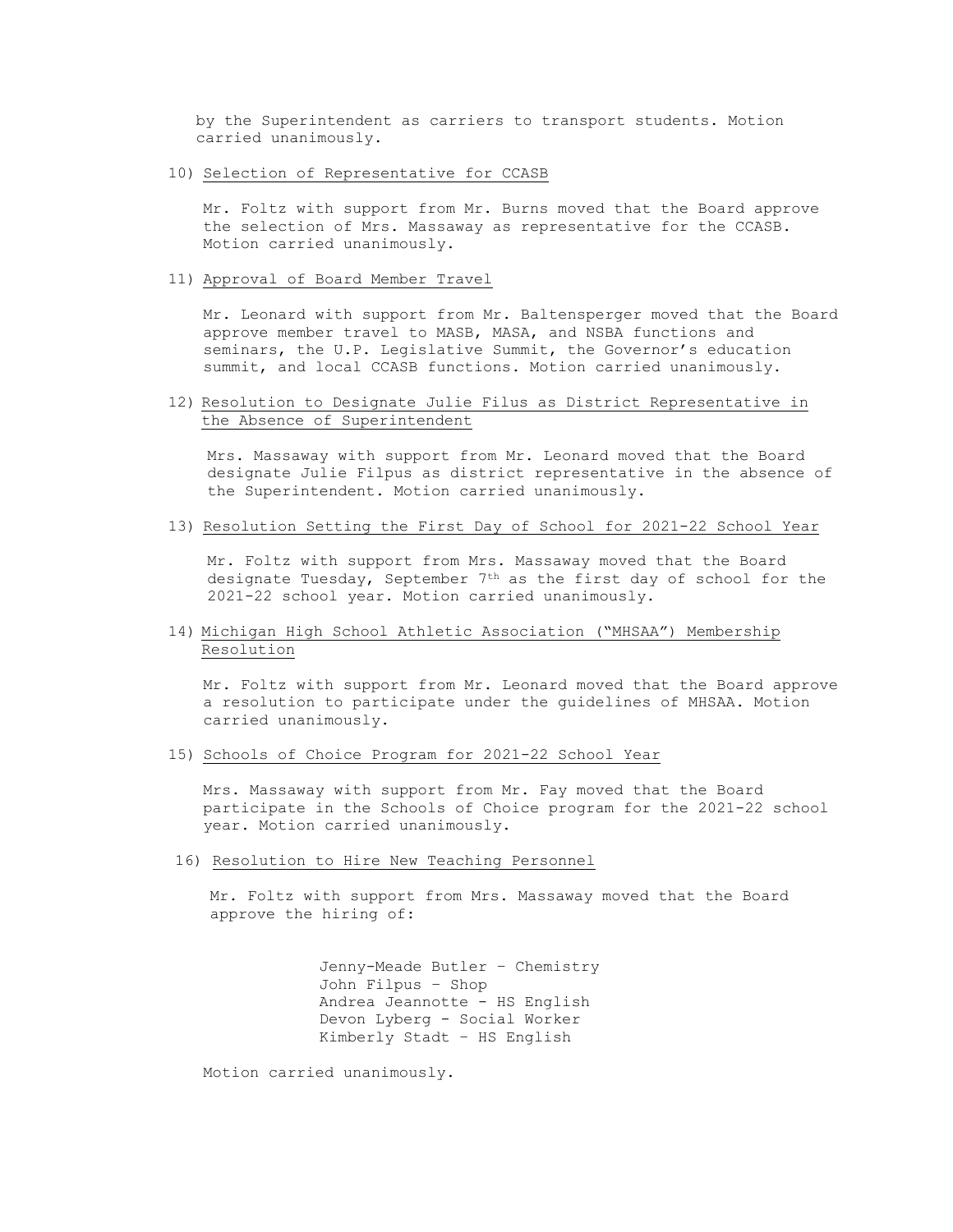by the Superintendent as carriers to transport students. Motion carried unanimously.

10) Selection of Representative for CCASB

Mr. Foltz with support from Mr. Burns moved that the Board approve the selection of Mrs. Massaway as representative for the CCASB. Motion carried unanimously.

#### 11) Approval of Board Member Travel

Mr. Leonard with support from Mr. Baltensperger moved that the Board approve member travel to MASB, MASA, and NSBA functions and seminars, the U.P. Legislative Summit, the Governor's education summit, and local CCASB functions. Motion carried unanimously.

# 12) Resolution to Designate Julie Filus as District Representative in the Absence of Superintendent

Mrs. Massaway with support from Mr. Leonard moved that the Board designate Julie Filpus as district representative in the absence of the Superintendent. Motion carried unanimously.

## 13) Resolution Setting the First Day of School for 2021-22 School Year

Mr. Foltz with support from Mrs. Massaway moved that the Board designate Tuesday, September 7th as the first day of school for the 2021-22 school year. Motion carried unanimously.

# 14) Michigan High School Athletic Association ("MHSAA") Membership Resolution

Mr. Foltz with support from Mr. Leonard moved that the Board approve a resolution to participate under the guidelines of MHSAA. Motion carried unanimously.

15) Schools of Choice Program for 2021-22 School Year

Mrs. Massaway with support from Mr. Fay moved that the Board participate in the Schools of Choice program for the 2021-22 school year. Motion carried unanimously.

16) Resolution to Hire New Teaching Personnel

Mr. Foltz with support from Mrs. Massaway moved that the Board approve the hiring of:

> Jenny-Meade Butler – Chemistry John Filpus – Shop Andrea Jeannotte - HS English Devon Lyberg - Social Worker Kimberly Stadt – HS English

Motion carried unanimously.